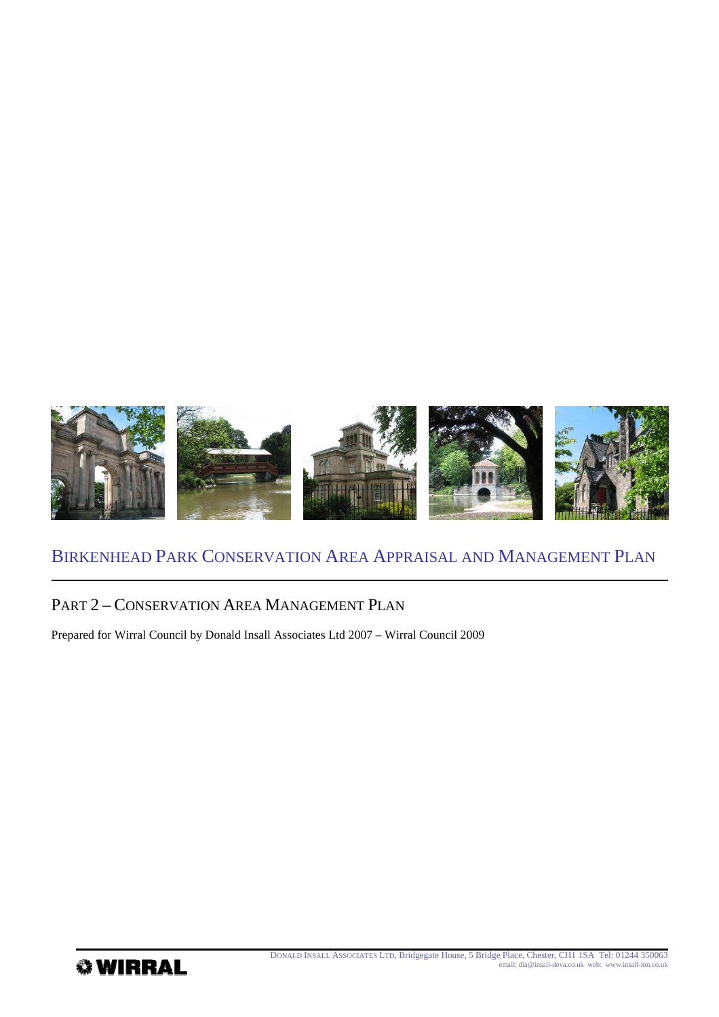

## PART 2 – CONSERVATION AREA MANAGEMENT PLAN

Prepared for Wirral Council by Donald Insall Associates Ltd 2007 – Wirral Council 2009

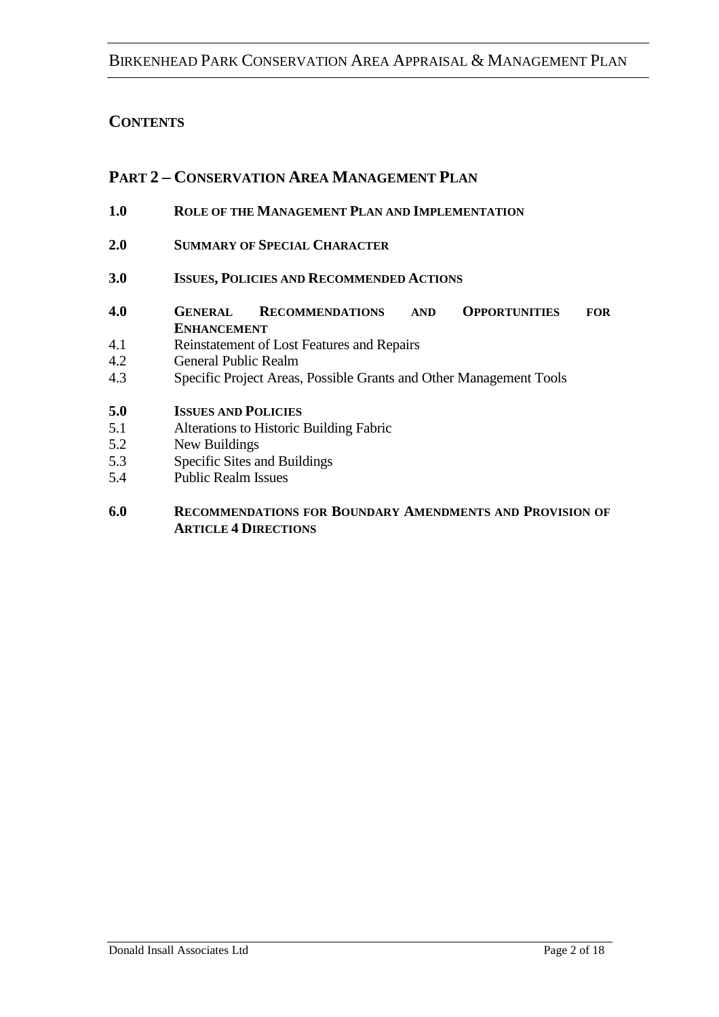# **CONTENTS**

# **PART 2 – CONSERVATION AREA MANAGEMENT PLAN**

- **1.0 ROLE OF THE MANAGEMENT PLAN AND IMPLEMENTATION**
- **2.0 SUMMARY OF SPECIAL CHARACTER**
- **3.0 ISSUES, POLICIES AND RECOMMENDED ACTIONS**
- **4.0 GENERAL RECOMMENDATIONS AND OPPORTUNITIES FOR ENHANCEMENT**
- 4.1 Reinstatement of Lost Features and Repairs
- 4.2 General Public Realm
- 4.3 Specific Project Areas, Possible Grants and Other Management Tools
- **5.0 ISSUES AND POLICIES**
- 5.1 Alterations to Historic Building Fabric
- 5.2 New Buildings
- 5.3 Specific Sites and Buildings
- 5.4 Public Realm Issues
- **6.0 RECOMMENDATIONS FOR BOUNDARY AMENDMENTS AND PROVISION OF ARTICLE 4 DIRECTIONS**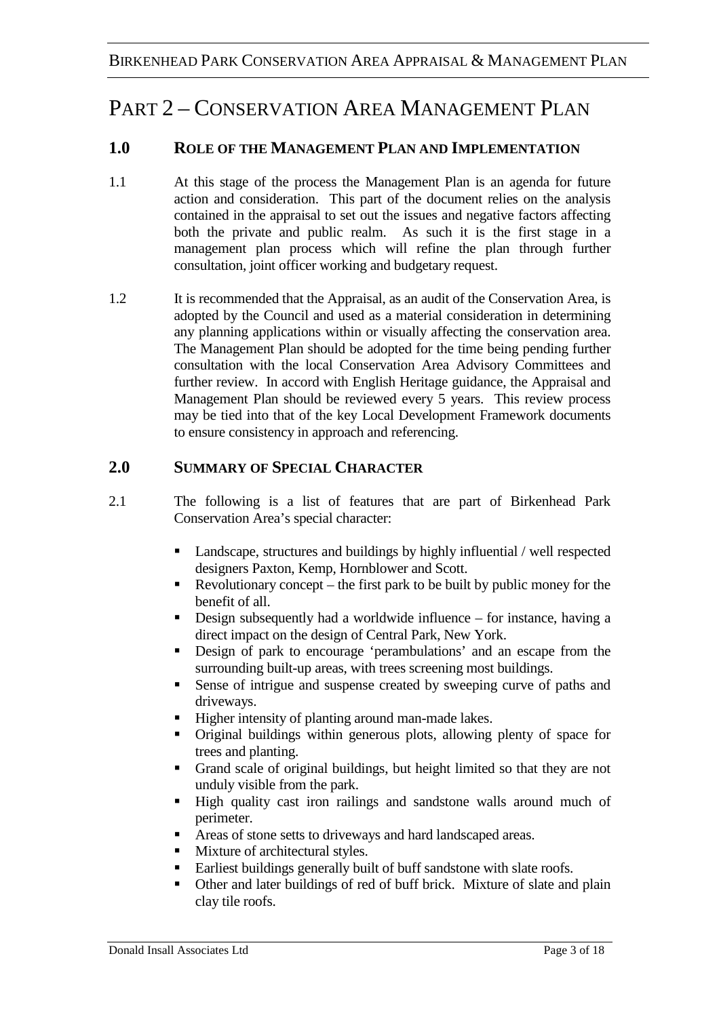# PART 2 – CONSERVATION AREA MANAGEMENT PLAN

# **1.0 ROLE OF THE MANAGEMENT PLAN AND IMPLEMENTATION**

- 1.1 At this stage of the process the Management Plan is an agenda for future action and consideration. This part of the document relies on the analysis contained in the appraisal to set out the issues and negative factors affecting both the private and public realm. As such it is the first stage in a management plan process which will refine the plan through further consultation, joint officer working and budgetary request.
- 1.2 It is recommended that the Appraisal, as an audit of the Conservation Area, is adopted by the Council and used as a material consideration in determining any planning applications within or visually affecting the conservation area. The Management Plan should be adopted for the time being pending further consultation with the local Conservation Area Advisory Committees and further review. In accord with English Heritage guidance, the Appraisal and Management Plan should be reviewed every 5 years. This review process may be tied into that of the key Local Development Framework documents to ensure consistency in approach and referencing.

# **2.0 SUMMARY OF SPECIAL CHARACTER**

- 2.1 The following is a list of features that are part of Birkenhead Park Conservation Area's special character:
	- Landscape, structures and buildings by highly influential / well respected designers Paxton, Kemp, Hornblower and Scott.
	- Revolutionary concept the first park to be built by public money for the benefit of all.
	- Design subsequently had a worldwide influence for instance, having a direct impact on the design of Central Park, New York.
	- Design of park to encourage 'perambulations' and an escape from the surrounding built-up areas, with trees screening most buildings.
	- Sense of intrigue and suspense created by sweeping curve of paths and driveways.
	- Higher intensity of planting around man-made lakes.
	- Original buildings within generous plots, allowing plenty of space for trees and planting.
	- Grand scale of original buildings, but height limited so that they are not unduly visible from the park.
	- High quality cast iron railings and sandstone walls around much of perimeter.
	- Areas of stone setts to driveways and hard landscaped areas.
	- **Mixture of architectural styles.**
	- Earliest buildings generally built of buff sandstone with slate roofs.
	- Other and later buildings of red of buff brick. Mixture of slate and plain clay tile roofs.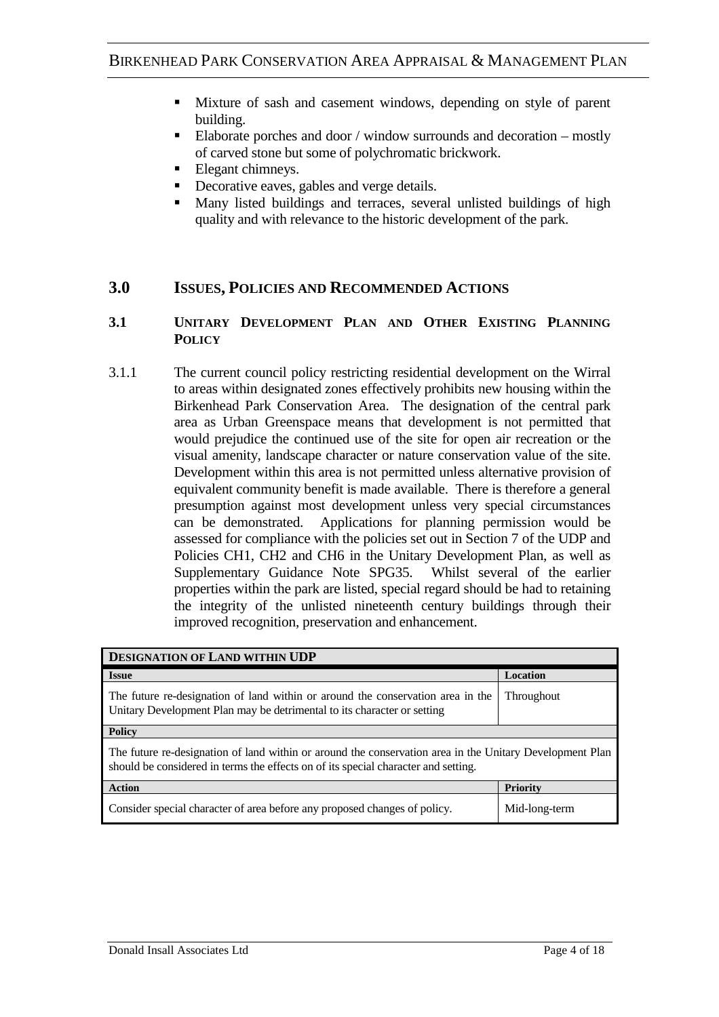- Mixture of sash and casement windows, depending on style of parent building.
- Elaborate porches and door / window surrounds and decoration mostly of carved stone but some of polychromatic brickwork.
- Elegant chimneys.
- Decorative eaves, gables and verge details.
- Many listed buildings and terraces, several unlisted buildings of high quality and with relevance to the historic development of the park.

### **3.0 ISSUES, POLICIES AND RECOMMENDED ACTIONS**

### **3.1 UNITARY DEVELOPMENT PLAN AND OTHER EXISTING PLANNING POLICY**

3.1.1 The current council policy restricting residential development on the Wirral to areas within designated zones effectively prohibits new housing within the Birkenhead Park Conservation Area. The designation of the central park area as Urban Greenspace means that development is not permitted that would prejudice the continued use of the site for open air recreation or the visual amenity, landscape character or nature conservation value of the site. Development within this area is not permitted unless alternative provision of equivalent community benefit is made available. There is therefore a general presumption against most development unless very special circumstances can be demonstrated. Applications for planning permission would be assessed for compliance with the policies set out in Section 7 of the UDP and Policies CH1, CH2 and CH6 in the Unitary Development Plan, as well as Supplementary Guidance Note SPG35. Whilst several of the earlier properties within the park are listed, special regard should be had to retaining the integrity of the unlisted nineteenth century buildings through their improved recognition, preservation and enhancement.

| <b>DESIGNATION OF LAND WITHIN UDP</b>                                                                                                                                                          |                 |
|------------------------------------------------------------------------------------------------------------------------------------------------------------------------------------------------|-----------------|
| <b>Issue</b>                                                                                                                                                                                   | <b>Location</b> |
| The future re-designation of land within or around the conservation area in the<br>Unitary Development Plan may be detrimental to its character or setting                                     | Throughout      |
| <b>Policy</b>                                                                                                                                                                                  |                 |
| The future re-designation of land within or around the conservation area in the Unitary Development Plan<br>should be considered in terms the effects on of its special character and setting. |                 |
| <b>Action</b>                                                                                                                                                                                  | <b>Priority</b> |
| Consider special character of area before any proposed changes of policy.                                                                                                                      | Mid-long-term   |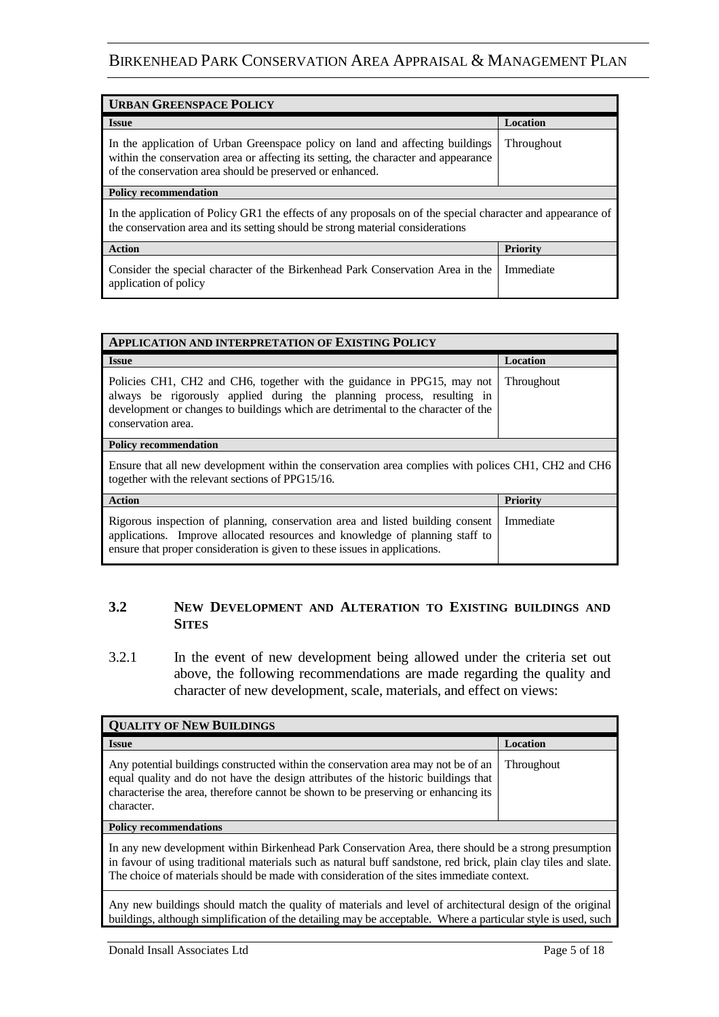| <b>URBAN GREENSPACE POLICY</b>                                                                                                                                                                                                    |                 |
|-----------------------------------------------------------------------------------------------------------------------------------------------------------------------------------------------------------------------------------|-----------------|
| <b>Issue</b>                                                                                                                                                                                                                      | <b>Location</b> |
| In the application of Urban Greenspace policy on land and affecting buildings<br>within the conservation area or affecting its setting, the character and appearance<br>of the conservation area should be preserved or enhanced. | Throughout      |
| <b>Policy recommendation</b>                                                                                                                                                                                                      |                 |
| In the application of Policy GR1 the effects of any proposals on of the special character and appearance of<br>the conservation area and its setting should be strong material considerations                                     |                 |
| <b>Action</b>                                                                                                                                                                                                                     | <b>Priority</b> |
| Consider the special character of the Birkenhead Park Conservation Area in the<br>application of policy                                                                                                                           | Immediate       |

| <b>APPLICATION AND INTERPRETATION OF EXISTING POLICY</b>                                                                                                                                                                                                     |                 |  |
|--------------------------------------------------------------------------------------------------------------------------------------------------------------------------------------------------------------------------------------------------------------|-----------------|--|
| <b>Issue</b>                                                                                                                                                                                                                                                 | Location        |  |
| Policies CH1, CH2 and CH6, together with the guidance in PPG15, may not<br>always be rigorously applied during the planning process, resulting in<br>development or changes to buildings which are detrimental to the character of the<br>conservation area. | Throughout      |  |
| <b>Policy recommendation</b>                                                                                                                                                                                                                                 |                 |  |
| Ensure that all new development within the conservation area complies with polices CH1, CH2 and CH6<br>together with the relevant sections of PPG15/16.                                                                                                      |                 |  |
| <b>Action</b>                                                                                                                                                                                                                                                | <b>Priority</b> |  |
| Rigorous inspection of planning, conservation area and listed building consent<br>applications. Improve allocated resources and knowledge of planning staff to<br>ensure that proper consideration is given to these issues in applications.                 | Immediate       |  |

### **3.2 NEW DEVELOPMENT AND ALTERATION TO EXISTING BUILDINGS AND SITES**

3.2.1 In the event of new development being allowed under the criteria set out above, the following recommendations are made regarding the quality and character of new development, scale, materials, and effect on views:

| <b>QUALITY OF NEW BUILDINGS</b>                                                                                                                                                                                                                                                                                       |                   |
|-----------------------------------------------------------------------------------------------------------------------------------------------------------------------------------------------------------------------------------------------------------------------------------------------------------------------|-------------------|
| <b>Issue</b>                                                                                                                                                                                                                                                                                                          | Location          |
| Any potential buildings constructed within the conservation area may not be of an<br>equal quality and do not have the design attributes of the historic buildings that<br>characterise the area, therefore cannot be shown to be preserving or enhancing its<br>character.                                           | <b>Throughout</b> |
| <b>Policy recommendations</b>                                                                                                                                                                                                                                                                                         |                   |
| In any new development within Birkenhead Park Conservation Area, there should be a strong presumption<br>in favour of using traditional materials such as natural buff sandstone, red brick, plain clay tiles and slate.<br>The choice of materials should be made with consideration of the sites immediate context. |                   |
| Any new buildings should match the quality of materials and level of architectural design of the original<br>buildings, although simplification of the detailing may be acceptable. Where a particular style is used, such                                                                                            |                   |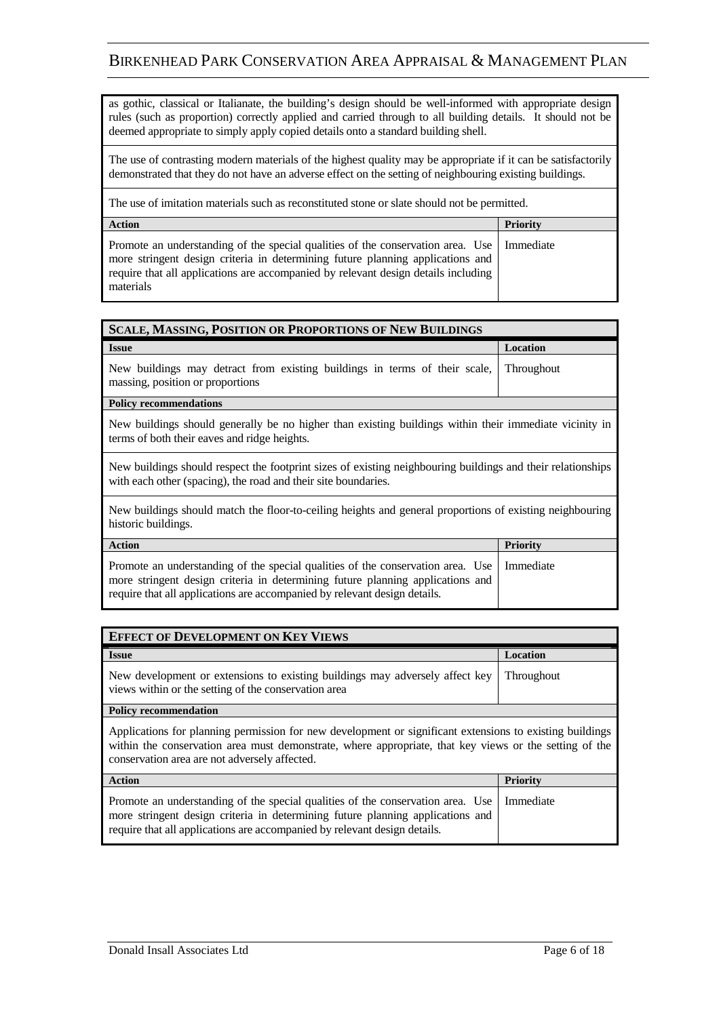as gothic, classical or Italianate, the building's design should be well-informed with appropriate design rules (such as proportion) correctly applied and carried through to all building details. It should not be deemed appropriate to simply apply copied details onto a standard building shell.

The use of contrasting modern materials of the highest quality may be appropriate if it can be satisfactorily demonstrated that they do not have an adverse effect on the setting of neighbouring existing buildings.

The use of imitation materials such as reconstituted stone or slate should not be permitted.

| <b>Action</b>                                                                                                                                                                                                                                                                    | <b>Priority</b> |
|----------------------------------------------------------------------------------------------------------------------------------------------------------------------------------------------------------------------------------------------------------------------------------|-----------------|
| Promote an understanding of the special qualities of the conservation area. Use   Immediate<br>more stringent design criteria in determining future planning applications and<br>require that all applications are accompanied by relevant design details including<br>materials |                 |

| <b>SCALE, MASSING, POSITION OR PROPORTIONS OF NEW BUILDINGS</b>                                                                                                               |                 |
|-------------------------------------------------------------------------------------------------------------------------------------------------------------------------------|-----------------|
| <b>Issue</b>                                                                                                                                                                  | Location        |
| New buildings may detract from existing buildings in terms of their scale,<br>massing, position or proportions                                                                | Throughout      |
| <b>Policy recommendations</b>                                                                                                                                                 |                 |
| New buildings should generally be no higher than existing buildings within their immediate vicinity in<br>terms of both their eaves and ridge heights.                        |                 |
| New buildings should respect the footprint sizes of existing neighbouring buildings and their relationships<br>with each other (spacing), the road and their site boundaries. |                 |
| New buildings should match the floor-to-ceiling heights and general proportions of existing neighbouring<br>historic buildings.                                               |                 |
| <b>Action</b>                                                                                                                                                                 | <b>Priority</b> |
| Promote an understanding of the special qualities of the conservation area. Use<br>more stringent design criteria in determining future planning applications and             | Immediate       |

| <b>EFFECT OF DEVELOPMENT ON KEY VIEWS</b>                                                                                                       |          |
|-------------------------------------------------------------------------------------------------------------------------------------------------|----------|
| <b>Issue</b>                                                                                                                                    | Location |
| New development or extensions to existing buildings may adversely affect key Throughout<br>views within or the setting of the conservation area |          |

require that all applications are accompanied by relevant design details.

#### **Policy recommendation**

Applications for planning permission for new development or significant extensions to existing buildings within the conservation area must demonstrate, where appropriate, that key views or the setting of the conservation area are not adversely affected.

| Action                                                                                                                                                                                                                                                     | Priority |
|------------------------------------------------------------------------------------------------------------------------------------------------------------------------------------------------------------------------------------------------------------|----------|
| Promote an understanding of the special qualities of the conservation area. Use   Immediate<br>more stringent design criteria in determining future planning applications and<br>require that all applications are accompanied by relevant design details. |          |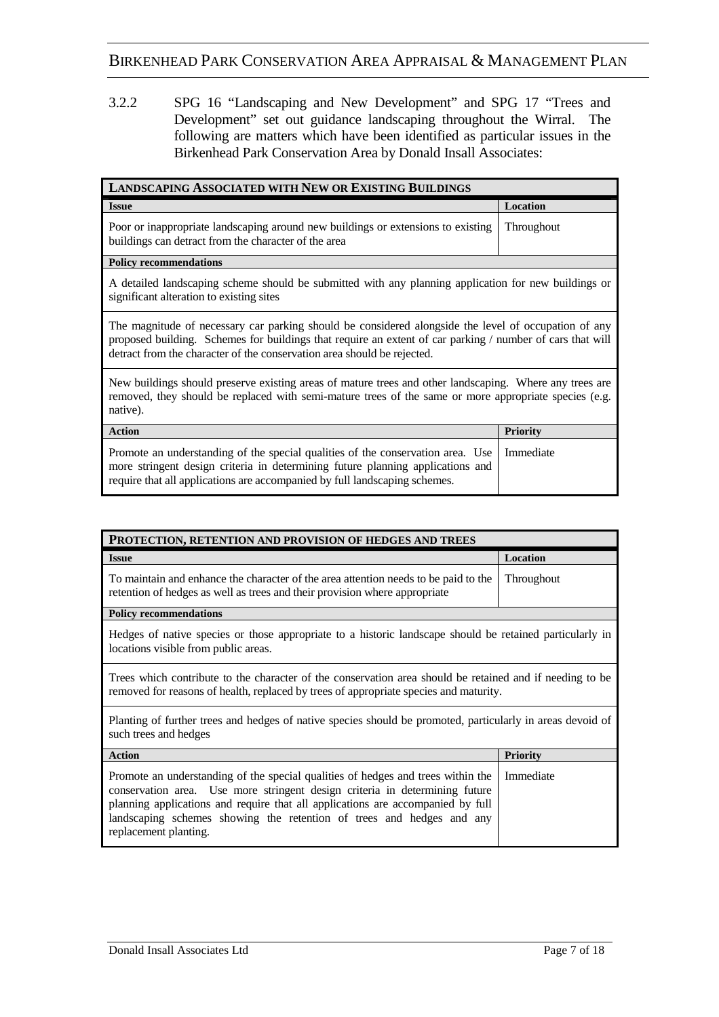3.2.2 SPG 16 "Landscaping and New Development" and SPG 17 "Trees and Development" set out guidance landscaping throughout the Wirral. The following are matters which have been identified as particular issues in the Birkenhead Park Conservation Area by Donald Insall Associates:

| <b>LANDSCAPING ASSOCIATED WITH NEW OR EXISTING BUILDINGS</b>                                                                                                                                                                                                                                 |                 |
|----------------------------------------------------------------------------------------------------------------------------------------------------------------------------------------------------------------------------------------------------------------------------------------------|-----------------|
| <b>Issue</b>                                                                                                                                                                                                                                                                                 | Location        |
| Poor or inappropriate landscaping around new buildings or extensions to existing<br>buildings can detract from the character of the area                                                                                                                                                     | Throughout      |
| <b>Policy recommendations</b>                                                                                                                                                                                                                                                                |                 |
| A detailed landscaping scheme should be submitted with any planning application for new buildings or<br>significant alteration to existing sites                                                                                                                                             |                 |
| The magnitude of necessary car parking should be considered alongside the level of occupation of any<br>proposed building. Schemes for buildings that require an extent of car parking / number of cars that will<br>detract from the character of the conservation area should be rejected. |                 |
| New buildings should preserve existing areas of mature trees and other landscaping. Where any trees are<br>removed, they should be replaced with semi-mature trees of the same or more appropriate species (e.g.<br>native).                                                                 |                 |
| <b>Action</b>                                                                                                                                                                                                                                                                                | <b>Priority</b> |
| Promote an understanding of the special qualities of the conservation area. Use<br>more stringent design criteria in determining future planning applications and<br>require that all applications are accompanied by full landscaping schemes.                                              | Immediate       |

| PROTECTION, RETENTION AND PROVISION OF HEDGES AND TREES                                                                                                                                                                                                                                                                                              |                 |
|------------------------------------------------------------------------------------------------------------------------------------------------------------------------------------------------------------------------------------------------------------------------------------------------------------------------------------------------------|-----------------|
| <b>Issue</b>                                                                                                                                                                                                                                                                                                                                         | Location        |
| To maintain and enhance the character of the area attention needs to be paid to the<br>retention of hedges as well as trees and their provision where appropriate                                                                                                                                                                                    | Throughout      |
| <b>Policy recommendations</b>                                                                                                                                                                                                                                                                                                                        |                 |
| Hedges of native species or those appropriate to a historic landscape should be retained particularly in<br>locations visible from public areas.                                                                                                                                                                                                     |                 |
| Trees which contribute to the character of the conservation area should be retained and if needing to be<br>removed for reasons of health, replaced by trees of appropriate species and maturity.                                                                                                                                                    |                 |
| Planting of further trees and hedges of native species should be promoted, particularly in areas devoid of<br>such trees and hedges                                                                                                                                                                                                                  |                 |
| <b>Action</b>                                                                                                                                                                                                                                                                                                                                        | <b>Priority</b> |
| Promote an understanding of the special qualities of hedges and trees within the<br>conservation area. Use more stringent design criteria in determining future<br>planning applications and require that all applications are accompanied by full<br>landscaping schemes showing the retention of trees and hedges and any<br>replacement planting. | Immediate       |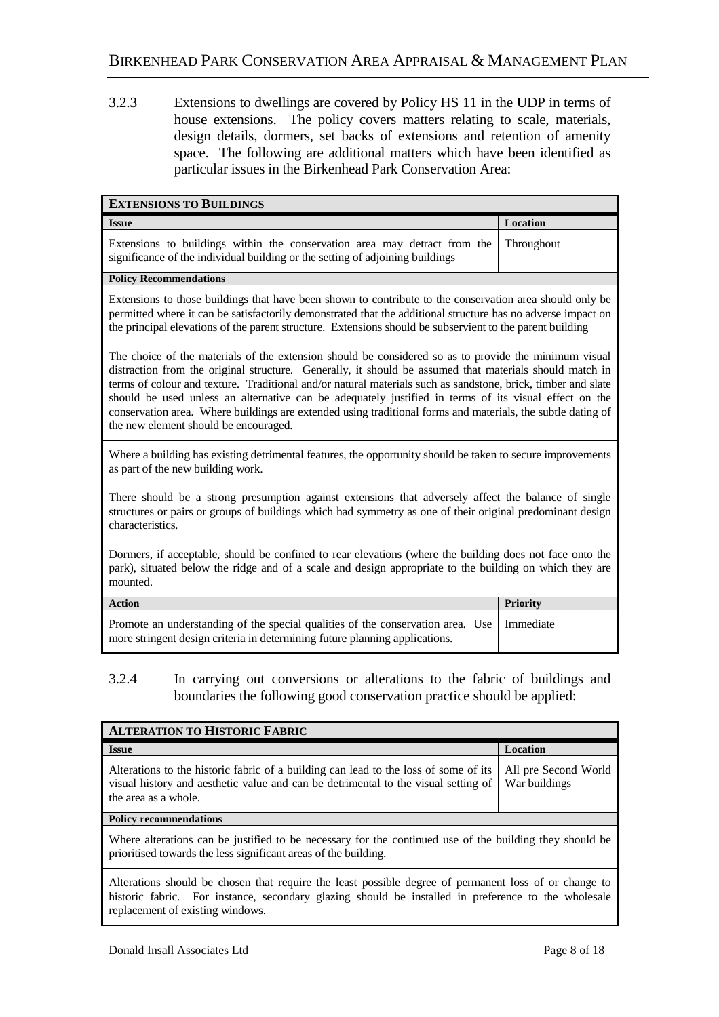3.2.3 Extensions to dwellings are covered by Policy HS 11 in the UDP in terms of house extensions. The policy covers matters relating to scale, materials, design details, dormers, set backs of extensions and retention of amenity space. The following are additional matters which have been identified as particular issues in the Birkenhead Park Conservation Area:

| <b>EXTENSIONS TO BUILDINGS</b>                                                                                                                                                                                                                                                                                                                                                                                                                                                                                                                                                                    |                 |
|---------------------------------------------------------------------------------------------------------------------------------------------------------------------------------------------------------------------------------------------------------------------------------------------------------------------------------------------------------------------------------------------------------------------------------------------------------------------------------------------------------------------------------------------------------------------------------------------------|-----------------|
| <b>Issue</b>                                                                                                                                                                                                                                                                                                                                                                                                                                                                                                                                                                                      | Location        |
| Extensions to buildings within the conservation area may detract from the<br>significance of the individual building or the setting of adjoining buildings                                                                                                                                                                                                                                                                                                                                                                                                                                        | Throughout      |
| <b>Policy Recommendations</b>                                                                                                                                                                                                                                                                                                                                                                                                                                                                                                                                                                     |                 |
| Extensions to those buildings that have been shown to contribute to the conservation area should only be<br>permitted where it can be satisfactorily demonstrated that the additional structure has no adverse impact on<br>the principal elevations of the parent structure. Extensions should be subservient to the parent building                                                                                                                                                                                                                                                             |                 |
| The choice of the materials of the extension should be considered so as to provide the minimum visual<br>distraction from the original structure. Generally, it should be assumed that materials should match in<br>terms of colour and texture. Traditional and/or natural materials such as sandstone, brick, timber and slate<br>should be used unless an alternative can be adequately justified in terms of its visual effect on the<br>conservation area. Where buildings are extended using traditional forms and materials, the subtle dating of<br>the new element should be encouraged. |                 |
| Where a building has existing detrimental features, the opportunity should be taken to secure improvements<br>as part of the new building work.                                                                                                                                                                                                                                                                                                                                                                                                                                                   |                 |
| There should be a strong presumption against extensions that adversely affect the balance of single<br>structures or pairs or groups of buildings which had symmetry as one of their original predominant design<br>characteristics.                                                                                                                                                                                                                                                                                                                                                              |                 |
| Dormers, if acceptable, should be confined to rear elevations (where the building does not face onto the<br>park), situated below the ridge and of a scale and design appropriate to the building on which they are<br>mounted.                                                                                                                                                                                                                                                                                                                                                                   |                 |
| <b>Action</b>                                                                                                                                                                                                                                                                                                                                                                                                                                                                                                                                                                                     | <b>Priority</b> |
| Promote an understanding of the special qualities of the conservation area. Use<br>more stringent design criteria in determining future planning applications.                                                                                                                                                                                                                                                                                                                                                                                                                                    | Immediate       |

### 3.2.4 In carrying out conversions or alterations to the fabric of buildings and boundaries the following good conservation practice should be applied:

| <b>ALTERATION TO HISTORIC FABRIC</b>                                                                                                                                                                                                             |                                       |
|--------------------------------------------------------------------------------------------------------------------------------------------------------------------------------------------------------------------------------------------------|---------------------------------------|
| <b>Issue</b>                                                                                                                                                                                                                                     | Location                              |
| Alterations to the historic fabric of a building can lead to the loss of some of its<br>visual history and aesthetic value and can be detrimental to the visual setting of<br>the area as a whole.                                               | All pre Second World<br>War buildings |
| <b>Policy recommendations</b>                                                                                                                                                                                                                    |                                       |
| Where alterations can be justified to be necessary for the continued use of the building they should be<br>prioritised towards the less significant areas of the building.                                                                       |                                       |
| Alterations should be chosen that require the least possible degree of permanent loss of or change to<br>historic fabric. For instance, secondary glazing should be installed in preference to the wholesale<br>replacement of existing windows. |                                       |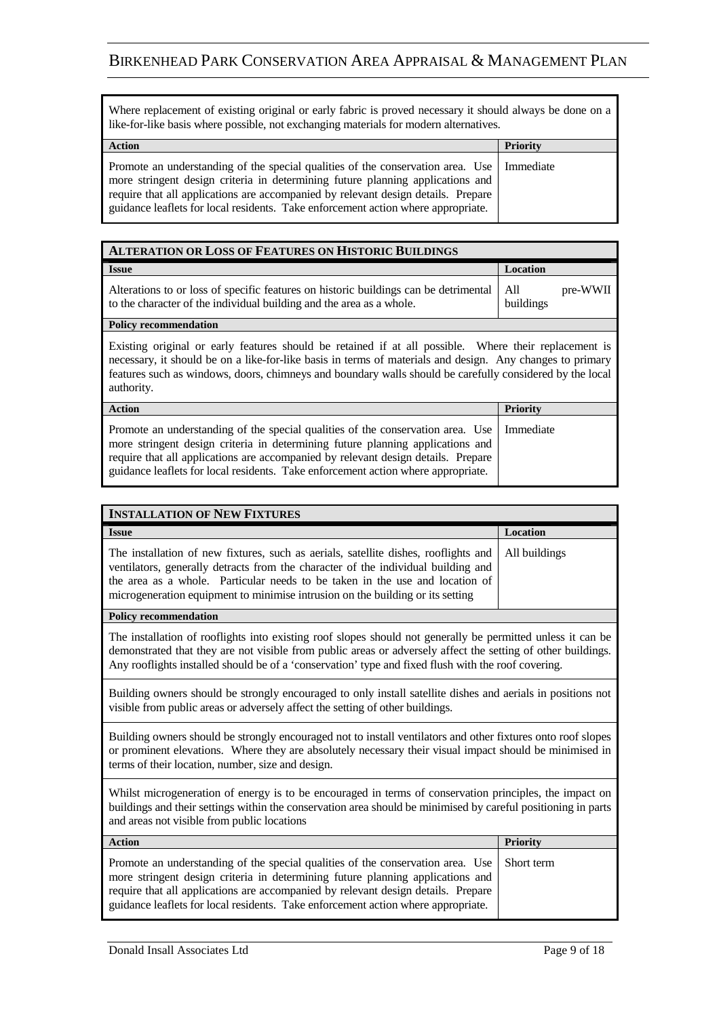| Where replacement of existing original or early fabric is proved necessary it should always be done on a<br>like-for-like basis where possible, not exchanging materials for modern alternatives.                                                                                                                                                       |          |
|---------------------------------------------------------------------------------------------------------------------------------------------------------------------------------------------------------------------------------------------------------------------------------------------------------------------------------------------------------|----------|
| <b>Action</b>                                                                                                                                                                                                                                                                                                                                           | Priority |
| Promote an understanding of the special qualities of the conservation area. Use   Immediate<br>more stringent design criteria in determining future planning applications and<br>require that all applications are accompanied by relevant design details. Prepare<br>guidance leaflets for local residents. Take enforcement action where appropriate. |          |

| <b>ALTERATION OR LOSS OF FEATURES ON HISTORIC BUILDINGS</b>                                                                                                                                                                                                                                                                                  |                              |
|----------------------------------------------------------------------------------------------------------------------------------------------------------------------------------------------------------------------------------------------------------------------------------------------------------------------------------------------|------------------------------|
| <b>Issue</b>                                                                                                                                                                                                                                                                                                                                 | Location                     |
| Alterations to or loss of specific features on historic buildings can be detrimental<br>to the character of the individual building and the area as a whole.                                                                                                                                                                                 | pre-WWII<br>All<br>buildings |
| <b>Policy recommendation</b>                                                                                                                                                                                                                                                                                                                 |                              |
| Existing original or early features should be retained if at all possible. Where their replacement is<br>necessary, it should be on a like-for-like basis in terms of materials and design. Any changes to primary<br>features such as windows, doors, chimneys and boundary walls should be carefully considered by the local<br>authority. |                              |
| <b>Action</b>                                                                                                                                                                                                                                                                                                                                | <b>Priority</b>              |
| Promote an understanding of the special qualities of the conservation area. Use<br>more stringent design criteria in determining future planning applications and<br>require that all applications are accompanied by relevant design details. Prepare<br>guidance leaflets for local residents. Take enforcement action where appropriate.  | Immediate                    |

| <b>INSTALLATION OF NEW FIXTURES</b>                                                                                                                                                                                                                                                                                                         |                 |
|---------------------------------------------------------------------------------------------------------------------------------------------------------------------------------------------------------------------------------------------------------------------------------------------------------------------------------------------|-----------------|
| <b>Issue</b>                                                                                                                                                                                                                                                                                                                                | Location        |
| The installation of new fixtures, such as aerials, satellite dishes, rooflights and<br>ventilators, generally detracts from the character of the individual building and<br>the area as a whole. Particular needs to be taken in the use and location of<br>microgeneration equipment to minimise intrusion on the building or its setting  | All buildings   |
| <b>Policy recommendation</b>                                                                                                                                                                                                                                                                                                                |                 |
| The installation of rooflights into existing roof slopes should not generally be permitted unless it can be<br>demonstrated that they are not visible from public areas or adversely affect the setting of other buildings.<br>Any rooflights installed should be of a 'conservation' type and fixed flush with the roof covering.          |                 |
| Building owners should be strongly encouraged to only install satellite dishes and aerials in positions not<br>visible from public areas or adversely affect the setting of other buildings.                                                                                                                                                |                 |
| Building owners should be strongly encouraged not to install ventilators and other fixtures onto roof slopes<br>or prominent elevations. Where they are absolutely necessary their visual impact should be minimised in<br>terms of their location, number, size and design.                                                                |                 |
| Whilst microgeneration of energy is to be encouraged in terms of conservation principles, the impact on<br>buildings and their settings within the conservation area should be minimised by careful positioning in parts<br>and areas not visible from public locations                                                                     |                 |
| <b>Action</b>                                                                                                                                                                                                                                                                                                                               | <b>Priority</b> |
| Promote an understanding of the special qualities of the conservation area. Use<br>more stringent design criteria in determining future planning applications and<br>require that all applications are accompanied by relevant design details. Prepare<br>guidance leaflets for local residents. Take enforcement action where appropriate. | Short term      |

÷.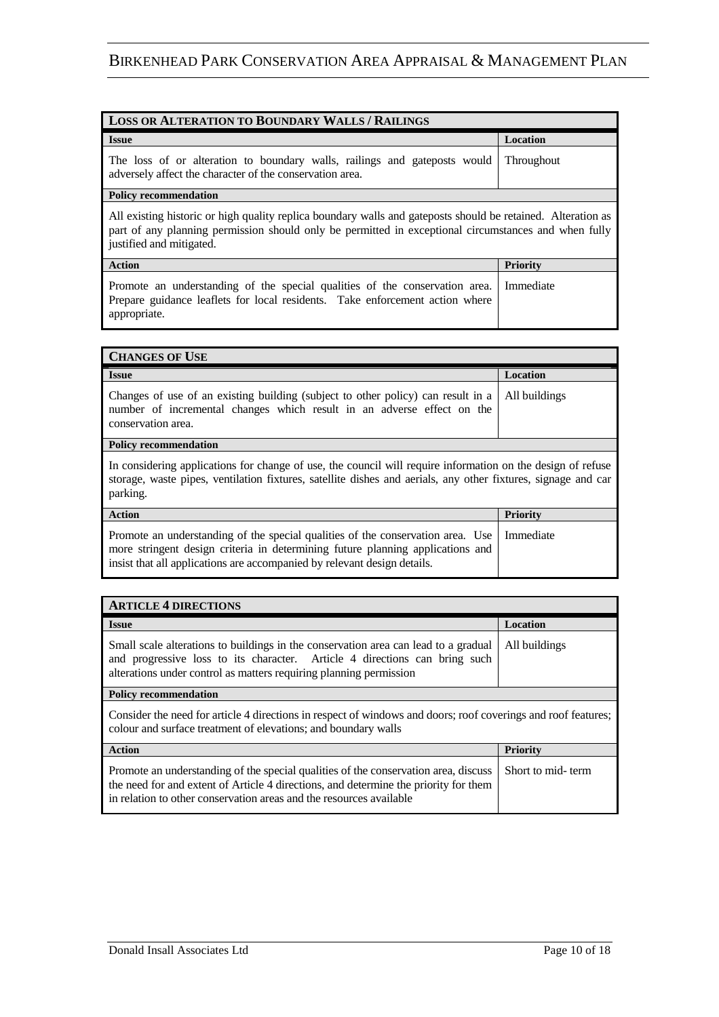| <b>LOSS OR ALTERATION TO BOUNDARY WALLS / RAILINGS</b>                                                                                                                                                                                           |                   |  |
|--------------------------------------------------------------------------------------------------------------------------------------------------------------------------------------------------------------------------------------------------|-------------------|--|
| <b>Issue</b>                                                                                                                                                                                                                                     | Location          |  |
| The loss of or alteration to boundary walls, railings and gateposts would<br>adversely affect the character of the conservation area.                                                                                                            | <b>Throughout</b> |  |
| <b>Policy recommendation</b>                                                                                                                                                                                                                     |                   |  |
| All existing historic or high quality replica boundary walls and gateposts should be retained. Alteration as<br>part of any planning permission should only be permitted in exceptional circumstances and when fully<br>justified and mitigated. |                   |  |
| <b>Action</b>                                                                                                                                                                                                                                    | Priority          |  |
| Promote an understanding of the special qualities of the conservation area.<br>Prepare guidance leaflets for local residents. Take enforcement action where<br>appropriate.                                                                      | Immediate         |  |

| <b>CHANGES OF USE</b>                                                                                                                                                                                                                         |                 |  |
|-----------------------------------------------------------------------------------------------------------------------------------------------------------------------------------------------------------------------------------------------|-----------------|--|
| <b>Issue</b>                                                                                                                                                                                                                                  | Location        |  |
| Changes of use of an existing building (subject to other policy) can result in a<br>number of incremental changes which result in an adverse effect on the<br>conservation area.                                                              | All buildings   |  |
| <b>Policy recommendation</b>                                                                                                                                                                                                                  |                 |  |
| In considering applications for change of use, the council will require information on the design of refuse<br>storage, waste pipes, ventilation fixtures, satellite dishes and aerials, any other fixtures, signage and car<br>parking.      |                 |  |
| <b>Action</b>                                                                                                                                                                                                                                 | <b>Priority</b> |  |
| Promote an understanding of the special qualities of the conservation area. Use<br>more stringent design criteria in determining future planning applications and<br>insist that all applications are accompanied by relevant design details. | Immediate       |  |

| <b>ARTICLE 4 DIRECTIONS</b>                                                                                                                                                                                                                        |                   |  |
|----------------------------------------------------------------------------------------------------------------------------------------------------------------------------------------------------------------------------------------------------|-------------------|--|
| <b>Issue</b>                                                                                                                                                                                                                                       | <b>Location</b>   |  |
| Small scale alterations to buildings in the conservation area can lead to a gradual<br>and progressive loss to its character. Article 4 directions can bring such<br>alterations under control as matters requiring planning permission            | All buildings     |  |
| <b>Policy recommendation</b>                                                                                                                                                                                                                       |                   |  |
| Consider the need for article 4 directions in respect of windows and doors; roof coverings and roof features;<br>colour and surface treatment of elevations; and boundary walls                                                                    |                   |  |
| <b>Action</b>                                                                                                                                                                                                                                      | <b>Priority</b>   |  |
| Promote an understanding of the special qualities of the conservation area, discuss<br>the need for and extent of Article 4 directions, and determine the priority for them<br>in relation to other conservation areas and the resources available | Short to mid-term |  |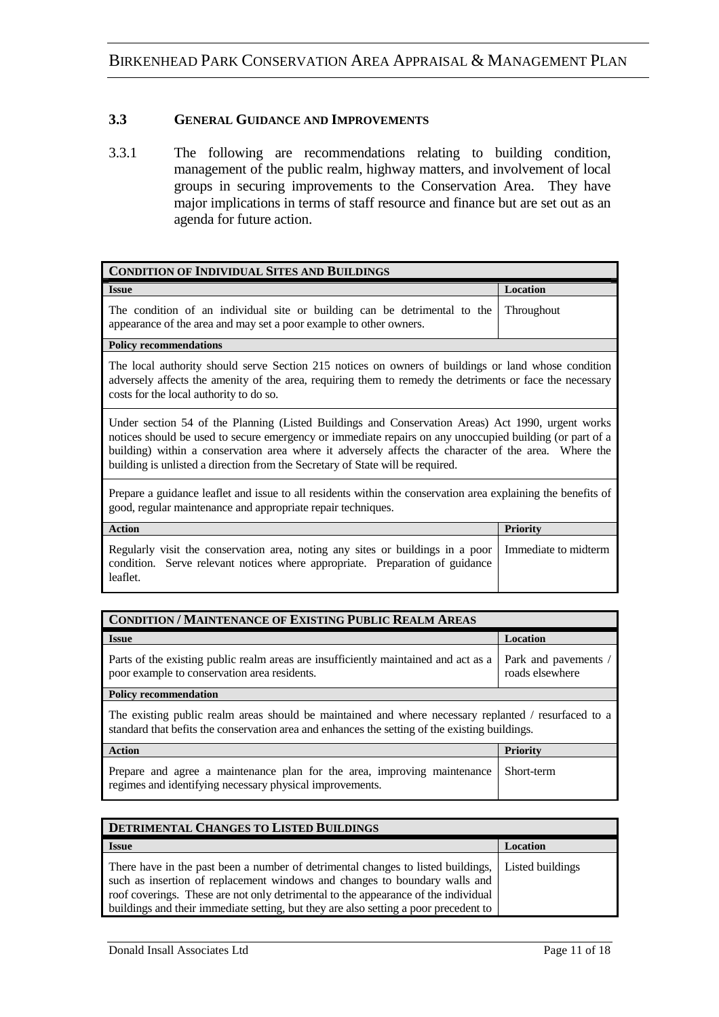### **3.3 GENERAL GUIDANCE AND IMPROVEMENTS**

3.3.1 The following are recommendations relating to building condition, management of the public realm, highway matters, and involvement of local groups in securing improvements to the Conservation Area. They have major implications in terms of staff resource and finance but are set out as an agenda for future action.

| <b>CONDITION OF INDIVIDUAL SITES AND BUILDINGS</b>                                                                                                                                                                                                                                                                                                                                                      |                      |
|---------------------------------------------------------------------------------------------------------------------------------------------------------------------------------------------------------------------------------------------------------------------------------------------------------------------------------------------------------------------------------------------------------|----------------------|
| <b>Issue</b>                                                                                                                                                                                                                                                                                                                                                                                            | Location             |
| The condition of an individual site or building can be detrimental to the<br>appearance of the area and may set a poor example to other owners.                                                                                                                                                                                                                                                         | Throughout           |
| <b>Policy recommendations</b>                                                                                                                                                                                                                                                                                                                                                                           |                      |
| The local authority should serve Section 215 notices on owners of buildings or land whose condition<br>adversely affects the amenity of the area, requiring them to remedy the detriments or face the necessary<br>costs for the local authority to do so.                                                                                                                                              |                      |
| Under section 54 of the Planning (Listed Buildings and Conservation Areas) Act 1990, urgent works<br>notices should be used to secure emergency or immediate repairs on any unoccupied building (or part of a<br>building) within a conservation area where it adversely affects the character of the area. Where the<br>building is unlisted a direction from the Secretary of State will be required. |                      |
| Prepare a guidance leaflet and issue to all residents within the conservation area explaining the benefits of<br>good, regular maintenance and appropriate repair techniques.                                                                                                                                                                                                                           |                      |
| <b>Action</b>                                                                                                                                                                                                                                                                                                                                                                                           | <b>Priority</b>      |
| Regularly visit the conservation area, noting any sites or buildings in a poor                                                                                                                                                                                                                                                                                                                          | Immediate to midterm |

| CONDITION / MAINTENANCE OF EXISTING PUBLIC REALM AREAS                                                                              |                                         |  |
|-------------------------------------------------------------------------------------------------------------------------------------|-----------------------------------------|--|
| <b>Issue</b>                                                                                                                        | Location                                |  |
| Parts of the existing public realm areas are insufficiently maintained and act as a<br>poor example to conservation area residents. | Park and pavements /<br>roads elsewhere |  |

condition. Serve relevant notices where appropriate. Preparation of guidance

#### **Policy recommendation**

leaflet.

The existing public realm areas should be maintained and where necessary replanted / resurfaced to a standard that befits the conservation area and enhances the setting of the existing buildings.

| Action                                                                              | <b>Priority</b> |
|-------------------------------------------------------------------------------------|-----------------|
| Prepare and agree a maintenance plan for the area, improving maintenance Short-term |                 |
| regimes and identifying necessary physical improvements.                            |                 |

| DETRIMENTAL CHANGES TO LISTED BUILDINGS                                                                                                                                                                                                                                                                                                      |                  |
|----------------------------------------------------------------------------------------------------------------------------------------------------------------------------------------------------------------------------------------------------------------------------------------------------------------------------------------------|------------------|
| <b>Issue</b>                                                                                                                                                                                                                                                                                                                                 | Location         |
| There have in the past been a number of detrimental changes to listed buildings,<br>such as insertion of replacement windows and changes to boundary walls and<br>roof coverings. These are not only detrimental to the appearance of the individual<br>buildings and their immediate setting, but they are also setting a poor precedent to | Listed buildings |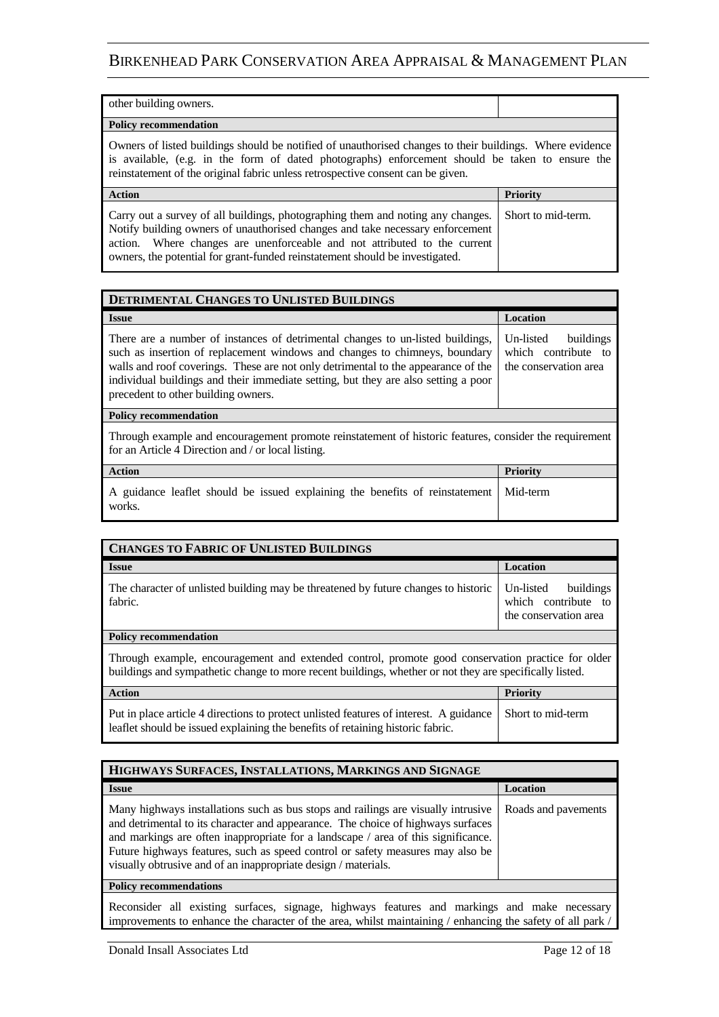| other building owners.                                                                                                                                                                                                                                                                         |          |  |
|------------------------------------------------------------------------------------------------------------------------------------------------------------------------------------------------------------------------------------------------------------------------------------------------|----------|--|
| <b>Policy recommendation</b>                                                                                                                                                                                                                                                                   |          |  |
| Owners of listed buildings should be notified of unauthorised changes to their buildings. Where evidence<br>is available, (e.g. in the form of dated photographs) enforcement should be taken to ensure the<br>reinstatement of the original fabric unless retrospective consent can be given. |          |  |
|                                                                                                                                                                                                                                                                                                |          |  |
| <b>Action</b>                                                                                                                                                                                                                                                                                  | Priority |  |

| <b>DETRIMENTAL CHANGES TO UNLISTED BUILDINGS</b>                                                                                                                                                                                                                                                                                                                               |                                                                        |
|--------------------------------------------------------------------------------------------------------------------------------------------------------------------------------------------------------------------------------------------------------------------------------------------------------------------------------------------------------------------------------|------------------------------------------------------------------------|
| <b>Issue</b>                                                                                                                                                                                                                                                                                                                                                                   | Location                                                               |
| There are a number of instances of detrimental changes to un-listed buildings,<br>such as insertion of replacement windows and changes to chimneys, boundary<br>walls and roof coverings. These are not only detrimental to the appearance of the<br>individual buildings and their immediate setting, but they are also setting a poor<br>precedent to other building owners. | Un-listed<br>buildings<br>which contribute to<br>the conservation area |
| <b>Policy recommendation</b>                                                                                                                                                                                                                                                                                                                                                   |                                                                        |
| Through example and encouragement promote reinstatement of historic features, consider the requirement<br>for an Article 4 Direction and / or local listing.                                                                                                                                                                                                                   |                                                                        |
| <b>Action</b>                                                                                                                                                                                                                                                                                                                                                                  | <b>Priority</b>                                                        |
| A guidance leaflet should be issued explaining the benefits of reinstatement<br>works.                                                                                                                                                                                                                                                                                         | Mid-term                                                               |

| <b>CHANGES TO FABRIC OF UNLISTED BUILDINGS</b>                                                |                                                                        |
|-----------------------------------------------------------------------------------------------|------------------------------------------------------------------------|
| <b>Issue</b>                                                                                  | Location                                                               |
| The character of unlisted building may be threatened by future changes to historic<br>fabric. | buildings<br>Un-listed<br>which contribute to<br>the conservation area |
| Policy recommendation                                                                         |                                                                        |
|                                                                                               |                                                                        |

Through example, encouragement and extended control, promote good conservation practice for older buildings and sympathetic change to more recent buildings, whether or not they are specifically listed.

| <b>Action</b>                                                                                                                                                                              | <b>Priority</b> |
|--------------------------------------------------------------------------------------------------------------------------------------------------------------------------------------------|-----------------|
| Put in place article 4 directions to protect unlisted features of interest. A guidance Short to mid-term<br>leaflet should be issued explaining the benefits of retaining historic fabric. |                 |

| HIGHWAYS SURFACES, INSTALLATIONS, MARKINGS AND SIGNAGE                                                                                                                                                                                                                                                                                                                                                         |                     |  |
|----------------------------------------------------------------------------------------------------------------------------------------------------------------------------------------------------------------------------------------------------------------------------------------------------------------------------------------------------------------------------------------------------------------|---------------------|--|
| <b>Issue</b>                                                                                                                                                                                                                                                                                                                                                                                                   | Location            |  |
| Many highways installations such as bus stops and railings are visually intrusive<br>and detrimental to its character and appearance. The choice of highways surfaces<br>and markings are often inappropriate for a landscape / area of this significance.<br>Future highways features, such as speed control or safety measures may also be<br>visually obtrusive and of an inappropriate design / materials. | Roads and payements |  |
| <b>Policy recommendations</b>                                                                                                                                                                                                                                                                                                                                                                                  |                     |  |
|                                                                                                                                                                                                                                                                                                                                                                                                                |                     |  |

Reconsider all existing surfaces, signage, highways features and markings and make necessary improvements to enhance the character of the area, whilst maintaining / enhancing the safety of all park /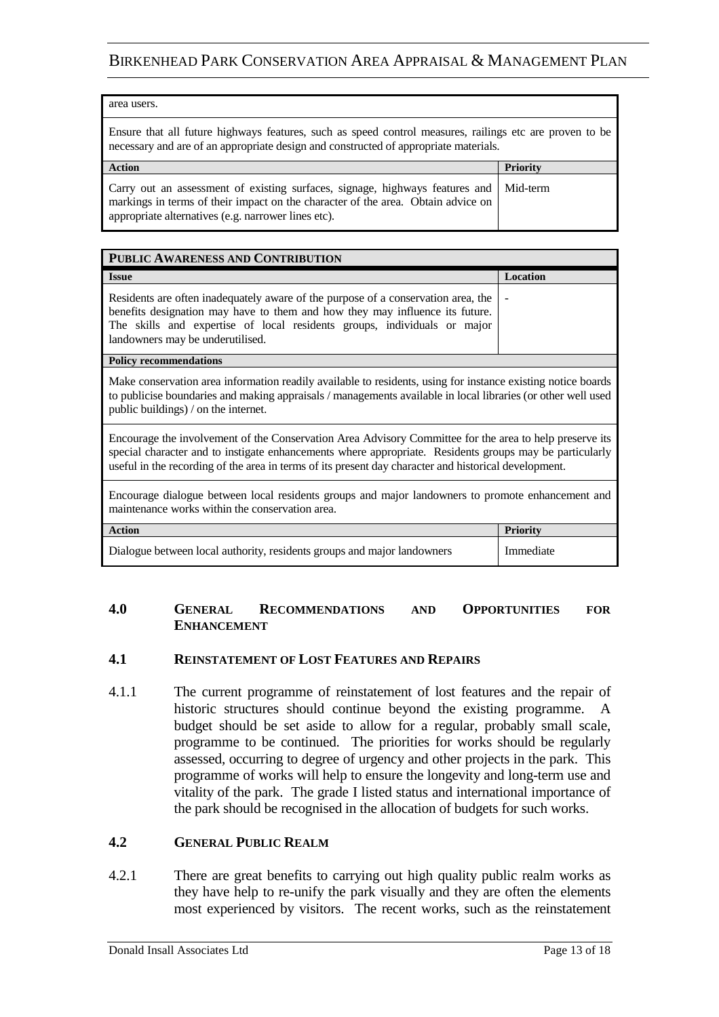| area users.                                                                                                                                                                                                             |          |  |
|-------------------------------------------------------------------------------------------------------------------------------------------------------------------------------------------------------------------------|----------|--|
| Ensure that all future highways features, such as speed control measures, railings etc are proven to be<br>necessary and are of an appropriate design and constructed of appropriate materials.                         |          |  |
| <b>Action</b>                                                                                                                                                                                                           | Priority |  |
| Carry out an assessment of existing surfaces, signage, highways features and<br>markings in terms of their impact on the character of the area. Obtain advice on<br>appropriate alternatives (e.g. narrower lines etc). | Mid-term |  |

| PUBLIC AWARENESS AND CONTRIBUTION                                                                                                                                                                                                                                                 |                 |
|-----------------------------------------------------------------------------------------------------------------------------------------------------------------------------------------------------------------------------------------------------------------------------------|-----------------|
| <b>Issue</b>                                                                                                                                                                                                                                                                      | <b>Location</b> |
| Residents are often inadequately aware of the purpose of a conservation area, the<br>benefits designation may have to them and how they may influence its future.<br>The skills and expertise of local residents groups, individuals or major<br>landowners may be underutilised. |                 |
| <b>Policy recommendations</b>                                                                                                                                                                                                                                                     |                 |

Make conservation area information readily available to residents, using for instance existing notice boards to publicise boundaries and making appraisals / managements available in local libraries (or other well used public buildings) / on the internet.

Encourage the involvement of the Conservation Area Advisory Committee for the area to help preserve its special character and to instigate enhancements where appropriate. Residents groups may be particularly useful in the recording of the area in terms of its present day character and historical development.

Encourage dialogue between local residents groups and major landowners to promote enhancement and maintenance works within the conservation area.

| <b>Action</b>                                                           | <b>Priority</b> |
|-------------------------------------------------------------------------|-----------------|
| Dialogue between local authority, residents groups and major landowners | Immediate       |

#### **4.0 GENERAL RECOMMENDATIONS AND OPPORTUNITIES FOR ENHANCEMENT**

### **4.1 REINSTATEMENT OF LOST FEATURES AND REPAIRS**

4.1.1 The current programme of reinstatement of lost features and the repair of historic structures should continue beyond the existing programme. A budget should be set aside to allow for a regular, probably small scale, programme to be continued. The priorities for works should be regularly assessed, occurring to degree of urgency and other projects in the park. This programme of works will help to ensure the longevity and long-term use and vitality of the park. The grade I listed status and international importance of the park should be recognised in the allocation of budgets for such works.

### **4.2 GENERAL PUBLIC REALM**

4.2.1 There are great benefits to carrying out high quality public realm works as they have help to re-unify the park visually and they are often the elements most experienced by visitors. The recent works, such as the reinstatement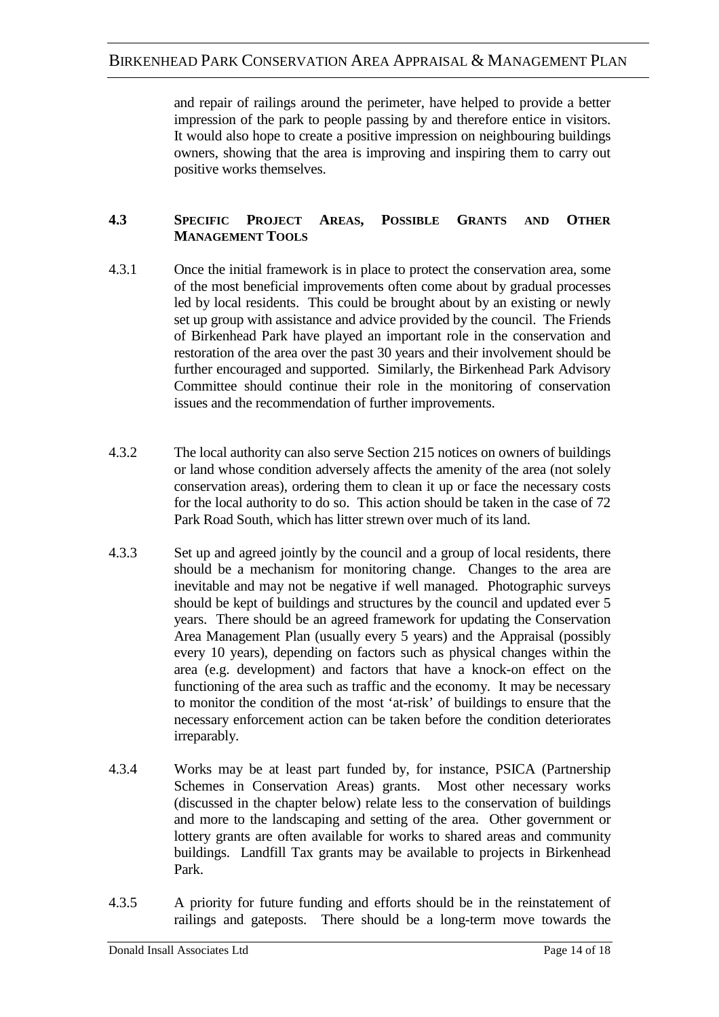and repair of railings around the perimeter, have helped to provide a better impression of the park to people passing by and therefore entice in visitors. It would also hope to create a positive impression on neighbouring buildings owners, showing that the area is improving and inspiring them to carry out positive works themselves.

### **4.3 SPECIFIC PROJECT AREAS, POSSIBLE GRANTS AND OTHER MANAGEMENT TOOLS**

- 4.3.1 Once the initial framework is in place to protect the conservation area, some of the most beneficial improvements often come about by gradual processes led by local residents. This could be brought about by an existing or newly set up group with assistance and advice provided by the council. The Friends of Birkenhead Park have played an important role in the conservation and restoration of the area over the past 30 years and their involvement should be further encouraged and supported. Similarly, the Birkenhead Park Advisory Committee should continue their role in the monitoring of conservation issues and the recommendation of further improvements.
- 4.3.2 The local authority can also serve Section 215 notices on owners of buildings or land whose condition adversely affects the amenity of the area (not solely conservation areas), ordering them to clean it up or face the necessary costs for the local authority to do so. This action should be taken in the case of 72 Park Road South, which has litter strewn over much of its land.
- 4.3.3 Set up and agreed jointly by the council and a group of local residents, there should be a mechanism for monitoring change. Changes to the area are inevitable and may not be negative if well managed. Photographic surveys should be kept of buildings and structures by the council and updated ever 5 years. There should be an agreed framework for updating the Conservation Area Management Plan (usually every 5 years) and the Appraisal (possibly every 10 years), depending on factors such as physical changes within the area (e.g. development) and factors that have a knock-on effect on the functioning of the area such as traffic and the economy. It may be necessary to monitor the condition of the most 'at-risk' of buildings to ensure that the necessary enforcement action can be taken before the condition deteriorates irreparably.
- 4.3.4 Works may be at least part funded by, for instance, PSICA (Partnership Schemes in Conservation Areas) grants. Most other necessary works (discussed in the chapter below) relate less to the conservation of buildings and more to the landscaping and setting of the area. Other government or lottery grants are often available for works to shared areas and community buildings. Landfill Tax grants may be available to projects in Birkenhead Park.
- 4.3.5 A priority for future funding and efforts should be in the reinstatement of railings and gateposts. There should be a long-term move towards the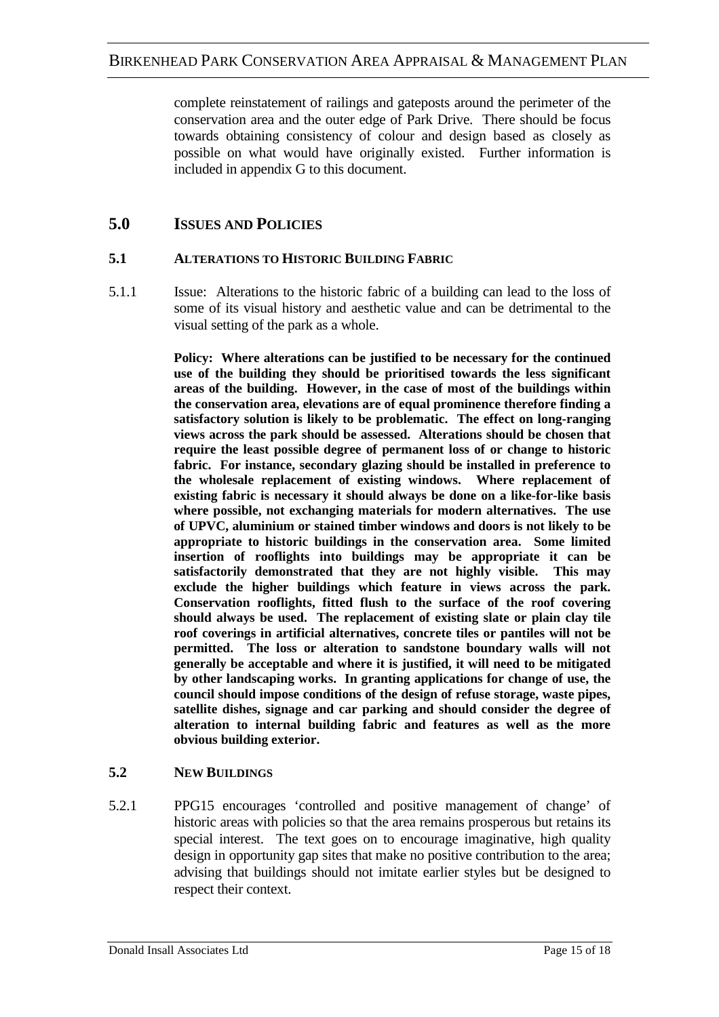complete reinstatement of railings and gateposts around the perimeter of the conservation area and the outer edge of Park Drive. There should be focus towards obtaining consistency of colour and design based as closely as possible on what would have originally existed. Further information is included in appendix G to this document.

# **5.0 ISSUES AND POLICIES**

### **5.1 ALTERATIONS TO HISTORIC BUILDING FABRIC**

5.1.1 Issue: Alterations to the historic fabric of a building can lead to the loss of some of its visual history and aesthetic value and can be detrimental to the visual setting of the park as a whole.

> **Policy: Where alterations can be justified to be necessary for the continued use of the building they should be prioritised towards the less significant areas of the building. However, in the case of most of the buildings within the conservation area, elevations are of equal prominence therefore finding a satisfactory solution is likely to be problematic. The effect on long-ranging views across the park should be assessed. Alterations should be chosen that require the least possible degree of permanent loss of or change to historic fabric. For instance, secondary glazing should be installed in preference to the wholesale replacement of existing windows. Where replacement of existing fabric is necessary it should always be done on a like-for-like basis where possible, not exchanging materials for modern alternatives. The use of UPVC, aluminium or stained timber windows and doors is not likely to be appropriate to historic buildings in the conservation area. Some limited insertion of rooflights into buildings may be appropriate it can be satisfactorily demonstrated that they are not highly visible. This may exclude the higher buildings which feature in views across the park. Conservation rooflights, fitted flush to the surface of the roof covering should always be used. The replacement of existing slate or plain clay tile roof coverings in artificial alternatives, concrete tiles or pantiles will not be permitted. The loss or alteration to sandstone boundary walls will not generally be acceptable and where it is justified, it will need to be mitigated by other landscaping works. In granting applications for change of use, the council should impose conditions of the design of refuse storage, waste pipes, satellite dishes, signage and car parking and should consider the degree of alteration to internal building fabric and features as well as the more obvious building exterior.**

### **5.2 NEW BUILDINGS**

5.2.1 PPG15 encourages 'controlled and positive management of change' of historic areas with policies so that the area remains prosperous but retains its special interest. The text goes on to encourage imaginative, high quality design in opportunity gap sites that make no positive contribution to the area; advising that buildings should not imitate earlier styles but be designed to respect their context.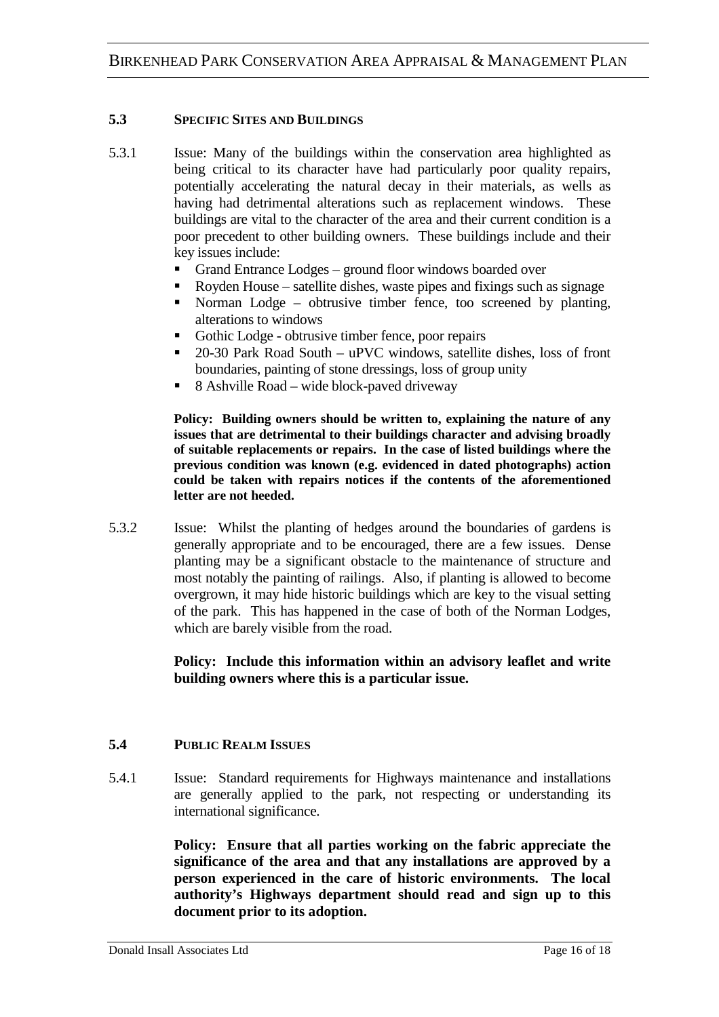### **5.3 SPECIFIC SITES AND BUILDINGS**

- 5.3.1 Issue: Many of the buildings within the conservation area highlighted as being critical to its character have had particularly poor quality repairs, potentially accelerating the natural decay in their materials, as wells as having had detrimental alterations such as replacement windows. These buildings are vital to the character of the area and their current condition is a poor precedent to other building owners. These buildings include and their key issues include:
	- Grand Entrance Lodges ground floor windows boarded over
	- Royden House satellite dishes, waste pipes and fixings such as signage
	- Norman Lodge obtrusive timber fence, too screened by planting, alterations to windows
	- Gothic Lodge obtrusive timber fence, poor repairs
	- 20-30 Park Road South uPVC windows, satellite dishes, loss of front boundaries, painting of stone dressings, loss of group unity
	- 8 Ashville Road wide block-paved driveway

 **Policy: Building owners should be written to, explaining the nature of any issues that are detrimental to their buildings character and advising broadly of suitable replacements or repairs. In the case of listed buildings where the previous condition was known (e.g. evidenced in dated photographs) action could be taken with repairs notices if the contents of the aforementioned letter are not heeded.** 

5.3.2 Issue: Whilst the planting of hedges around the boundaries of gardens is generally appropriate and to be encouraged, there are a few issues. Dense planting may be a significant obstacle to the maintenance of structure and most notably the painting of railings. Also, if planting is allowed to become overgrown, it may hide historic buildings which are key to the visual setting of the park. This has happened in the case of both of the Norman Lodges, which are barely visible from the road.

### **Policy: Include this information within an advisory leaflet and write building owners where this is a particular issue.**

### **5.4 PUBLIC REALM ISSUES**

5.4.1 Issue: Standard requirements for Highways maintenance and installations are generally applied to the park, not respecting or understanding its international significance.

> **Policy: Ensure that all parties working on the fabric appreciate the significance of the area and that any installations are approved by a person experienced in the care of historic environments. The local authority's Highways department should read and sign up to this document prior to its adoption.**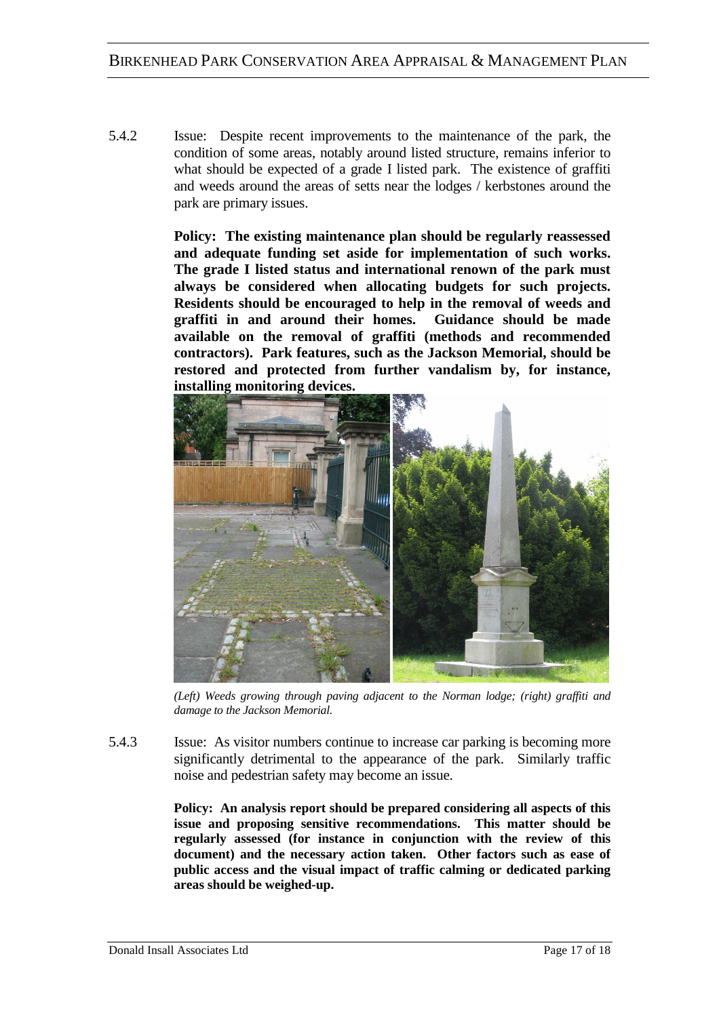5.4.2 Issue: Despite recent improvements to the maintenance of the park, the condition of some areas, notably around listed structure, remains inferior to what should be expected of a grade I listed park. The existence of graffiti and weeds around the areas of setts near the lodges / kerbstones around the park are primary issues.

> **Policy: The existing maintenance plan should be regularly reassessed and adequate funding set aside for implementation of such works. The grade I listed status and international renown of the park must always be considered when allocating budgets for such projects. Residents should be encouraged to help in the removal of weeds and graffiti in and around their homes. Guidance should be made available on the removal of graffiti (methods and recommended contractors). Park features, such as the Jackson Memorial, should be restored and protected from further vandalism by, for instance, installing monitoring devices.**



*(Left) Weeds growing through paving adjacent to the Norman lodge; (right) graffiti and damage to the Jackson Memorial.* 

5.4.3 Issue: As visitor numbers continue to increase car parking is becoming more significantly detrimental to the appearance of the park. Similarly traffic noise and pedestrian safety may become an issue.

> **Policy: An analysis report should be prepared considering all aspects of this issue and proposing sensitive recommendations. This matter should be regularly assessed (for instance in conjunction with the review of this document) and the necessary action taken. Other factors such as ease of public access and the visual impact of traffic calming or dedicated parking areas should be weighed-up.**